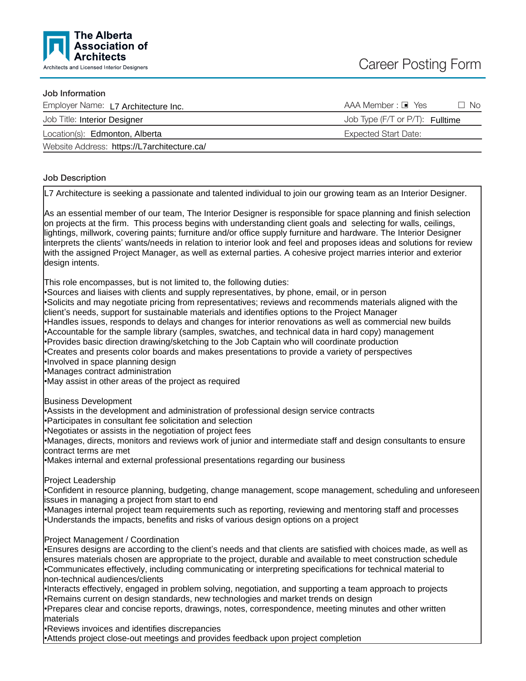

#### Job Information

| Employer Name: L7 Architecture Inc.         | AAA Member : □ Yes<br>No.              |
|---------------------------------------------|----------------------------------------|
| Job Title: Interior Designer                | Job Type (F/T or P/T): <b>Fulltime</b> |
| Location(s): Edmonton, Alberta              | Expected Start Date:                   |
| Website Address: https://L7architecture.ca/ |                                        |

### Job Description

L7 Architecture is seeking a passionate and talented individual to join our growing team as an Interior Designer.

As an essential member of our team, The Interior Designer is responsible for space planning and finish selection on projects at the firm. This process begins with understanding client goals and selecting for walls, ceilings, lightings, millwork, covering paints; furniture and/or office supply furniture and hardware. The Interior Designer interprets the clients ' wants/needs in relation to interior look and feel and proposes ideas and solutions for review with the assigned Project Manager, as well as external parties. A cohesive project marries interior and exterior design intents.

This role encompasses, but is not limited to, the following duties:

•Sources and liaises with clients and supply representatives, by phone, email, or in person

•Solicits and may negotiate pricing from representatives; reviews and recommends materials aligned with the client 's needs, support for sustainable materials and identifies options to the Project Manager

•Handles issues, responds to delays and changes for interior renovations as well as commercial new builds

•Accountable for the sample library (samples, swatches, and technical data in hard copy) management

•Provides basic direction drawing/sketching to the Job Captain who will coordinate production

•Creates and presents color boards and makes presentations to provide a variety of perspectives

•Involved in space planning design

•Manages contract administration

•May assist in other areas of the project as required

Business Development

•Assists in the development and administration of professional design service contracts

•Participates in consultant fee solicitation and selection

•Negotiates or assists in the negotiation of project fees

•Manages, directs, monitors and reviews work of junior and intermediate staff and design consultants to ensure contract terms are met

•Makes internal and external professional presentations regarding our business

Project Leadership

•Confident in resource planning, budgeting, change management, scope management, scheduling and unforeseen issues in managing a project from start to end

•Manages internal project team requirements such as reporting, reviewing and mentoring staff and processes •Understands the impacts, benefits and risks of various design options on a project

## Project Management / Coordination

•Ensures designs are according to the client 's needs and that clients are satisfied with choices made, as well as ensures materials chosen are appropriate to the project, durable and available to meet construction schedule •Communicates effectively, including communicating or interpreting specifications for technical material to non-technical audiences/clients

•Interacts effectively, engaged in problem solving, negotiation, and supporting a team approach to projects •Remains current on design standards, new technologies and market trends on design

•Prepares clear and concise reports, drawings, notes, correspondence, meeting minutes and other written materials

•Reviews invoices and identifies discrepancies

•Attends project close-out meetings and provides feedback upon project completion